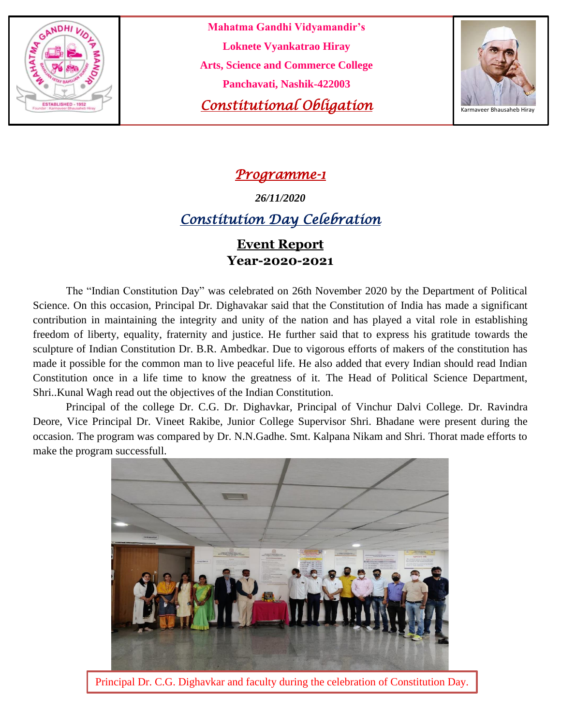

**Mahatma Gandhi Vidyamandir's Loknete Vyankatrao Hiray Arts, Science and Commerce College Panchavati, Nashik-422003 Constitutional Obligation** 



### *Programme-1*

*26/11/2020*

## *Constitution Day Celebration*

#### **Event Report Year-2020-2021**

The "Indian Constitution Day" was celebrated on 26th November 2020 by the Department of Political Science. On this occasion, Principal Dr. Dighavakar said that the Constitution of India has made a significant contribution in maintaining the integrity and unity of the nation and has played a vital role in establishing freedom of liberty, equality, fraternity and justice. He further said that to express his gratitude towards the sculpture of Indian Constitution Dr. B.R. Ambedkar. Due to vigorous efforts of makers of the constitution has made it possible for the common man to live peaceful life. He also added that every Indian should read Indian Constitution once in a life time to know the greatness of it. The Head of Political Science Department, Shri..Kunal Wagh read out the objectives of the Indian Constitution.

Principal of the college Dr. C.G. Dr. Dighavkar, Principal of Vinchur Dalvi College. Dr. Ravindra Deore, Vice Principal Dr. Vineet Rakibe, Junior College Supervisor Shri. Bhadane were present during the occasion. The program was compared by Dr. N.N.Gadhe. Smt. Kalpana Nikam and Shri. Thorat made efforts to make the program successfull.



Principal Dr. C.G. Dighavkar and faculty during the celebration of Constitution Day.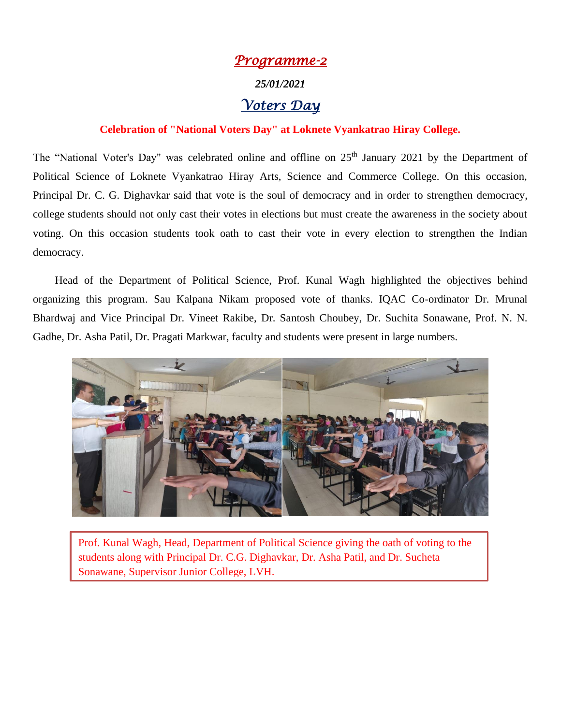# *Programme-2 25/01/2021 Voters Day*

#### **Celebration of "National Voters Day" at Loknete Vyankatrao Hiray College.**

The "National Voter's Day" was celebrated online and offline on 25<sup>th</sup> January 2021 by the Department of Political Science of Loknete Vyankatrao Hiray Arts, Science and Commerce College. On this occasion, Principal Dr. C. G. Dighavkar said that vote is the soul of democracy and in order to strengthen democracy, college students should not only cast their votes in elections but must create the awareness in the society about voting. On this occasion students took oath to cast their vote in every election to strengthen the Indian democracy.

 Head of the Department of Political Science, Prof. Kunal Wagh highlighted the objectives behind organizing this program. Sau Kalpana Nikam proposed vote of thanks. IQAC Co-ordinator Dr. Mrunal Bhardwaj and Vice Principal Dr. Vineet Rakibe, Dr. Santosh Choubey, Dr. Suchita Sonawane, Prof. N. N. Gadhe, Dr. Asha Patil, Dr. Pragati Markwar, faculty and students were present in large numbers.



L Prof. Kunal Wagh, Head, Department of Political Science giving the oath of voting to the students along with Principal Dr. C.G. Dighavkar, Dr. Asha Patil, and Dr. Sucheta Sonawane, Supervisor Junior College, LVH.